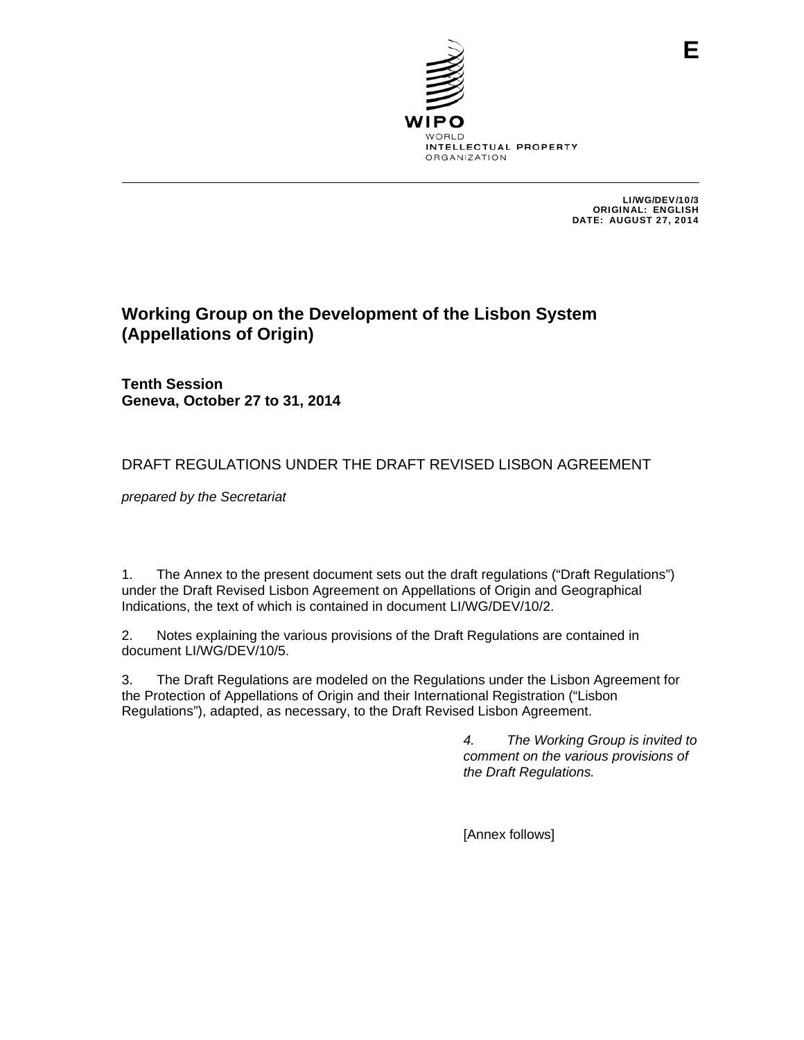

LI/WG/DEV/10/3 ORIGINAL: ENGLISH DATE: AUGUST 27, 2014

# **Working Group on the Development of the Lisbon System (Appellations of Origin)**

**Tenth Session Geneva, October 27 to 31, 2014** 

# DRAFT REGULATIONS UNDER THE DRAFT REVISED LISBON AGREEMENT

*prepared by the Secretariat* 

1. The Annex to the present document sets out the draft regulations ("Draft Regulations") under the Draft Revised Lisbon Agreement on Appellations of Origin and Geographical Indications, the text of which is contained in document LI/WG/DEV/10/2.

2. Notes explaining the various provisions of the Draft Regulations are contained in document LI/WG/DEV/10/5.

3. The Draft Regulations are modeled on the Regulations under the Lisbon Agreement for the Protection of Appellations of Origin and their International Registration ("Lisbon Regulations"), adapted, as necessary, to the Draft Revised Lisbon Agreement.

> *4. The Working Group is invited to comment on the various provisions of the Draft Regulations.*

[Annex follows]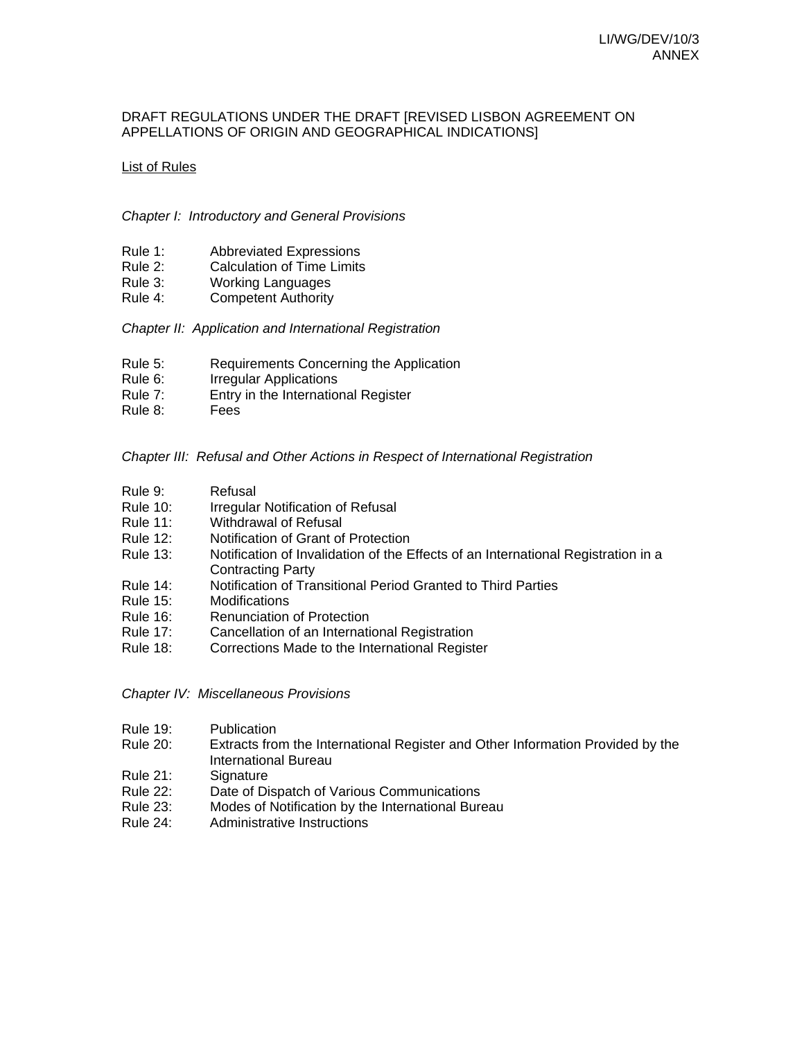### DRAFT REGULATIONS UNDER THE DRAFT [REVISED LISBON AGREEMENT ON APPELLATIONS OF ORIGIN AND GEOGRAPHICAL INDICATIONS]

### List of Rules

### *Chapter I: Introductory and General Provisions*

- Rule 1: Abbreviated Expressions
- Rule 2: Calculation of Time Limits
- Rule 3: Working Languages
- Rule 4: Competent Authority

### *Chapter II: Application and International Registration*

- Rule 5: Requirements Concerning the Application
- Rule 6: Irregular Applications
- Rule 7: Entry in the International Register
- Rule 8: Fees

### *Chapter III: Refusal and Other Actions in Respect of International Registration*

- Rule 9: Refusal
- Rule 10: Irregular Notification of Refusal
- Rule 11: Withdrawal of Refusal
- Rule 12: Notification of Grant of Protection
- Rule 13: Notification of Invalidation of the Effects of an International Registration in a Contracting Party
- Rule 14: Notification of Transitional Period Granted to Third Parties
- Rule 15: Modifications
- Rule 16: Renunciation of Protection
- Rule 17: Cancellation of an International Registration
- Rule 18: Corrections Made to the International Register

*Chapter IV: Miscellaneous Provisions* 

- Rule 19: Publication
- Rule 20: Extracts from the International Register and Other Information Provided by the International Bureau
- Rule 21: Signature<br>Rule 22: Date of Di
- Date of Dispatch of Various Communications
- Rule 23: Modes of Notification by the International Bureau
- Rule 24: Administrative Instructions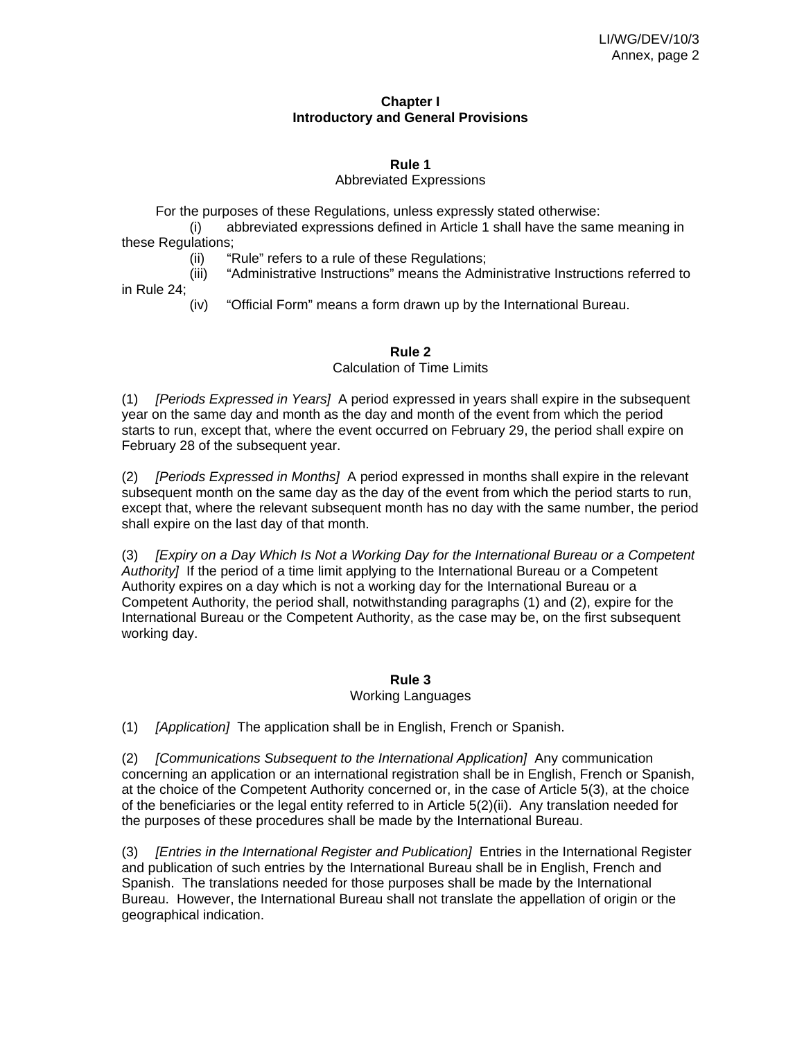### **Chapter I Introductory and General Provisions**

#### **Rule 1**

### Abbreviated Expressions

For the purposes of these Regulations, unless expressly stated otherwise:

(i) abbreviated expressions defined in Article 1 shall have the same meaning in these Regulations;

(ii) "Rule" refers to a rule of these Regulations;

(iii) "Administrative Instructions" means the Administrative Instructions referred to in Rule 24;

(iv) "Official Form" means a form drawn up by the International Bureau.

### **Rule 2**

#### Calculation of Time Limits

(1) *[Periods Expressed in Years]* A period expressed in years shall expire in the subsequent year on the same day and month as the day and month of the event from which the period starts to run, except that, where the event occurred on February 29, the period shall expire on February 28 of the subsequent year.

(2) *[Periods Expressed in Months]* A period expressed in months shall expire in the relevant subsequent month on the same day as the day of the event from which the period starts to run, except that, where the relevant subsequent month has no day with the same number, the period shall expire on the last day of that month.

(3) *[Expiry on a Day Which Is Not a Working Day for the International Bureau or a Competent Authority]* If the period of a time limit applying to the International Bureau or a Competent Authority expires on a day which is not a working day for the International Bureau or a Competent Authority, the period shall, notwithstanding paragraphs (1) and (2), expire for the International Bureau or the Competent Authority, as the case may be, on the first subsequent working day.

### **Rule 3**

#### Working Languages

(1) *[Application]* The application shall be in English, French or Spanish.

(2) *[Communications Subsequent to the International Application]* Any communication concerning an application or an international registration shall be in English, French or Spanish, at the choice of the Competent Authority concerned or, in the case of Article 5(3), at the choice of the beneficiaries or the legal entity referred to in Article 5(2)(ii). Any translation needed for the purposes of these procedures shall be made by the International Bureau.

(3) *[Entries in the International Register and Publication]* Entries in the International Register and publication of such entries by the International Bureau shall be in English, French and Spanish. The translations needed for those purposes shall be made by the International Bureau. However, the International Bureau shall not translate the appellation of origin or the geographical indication.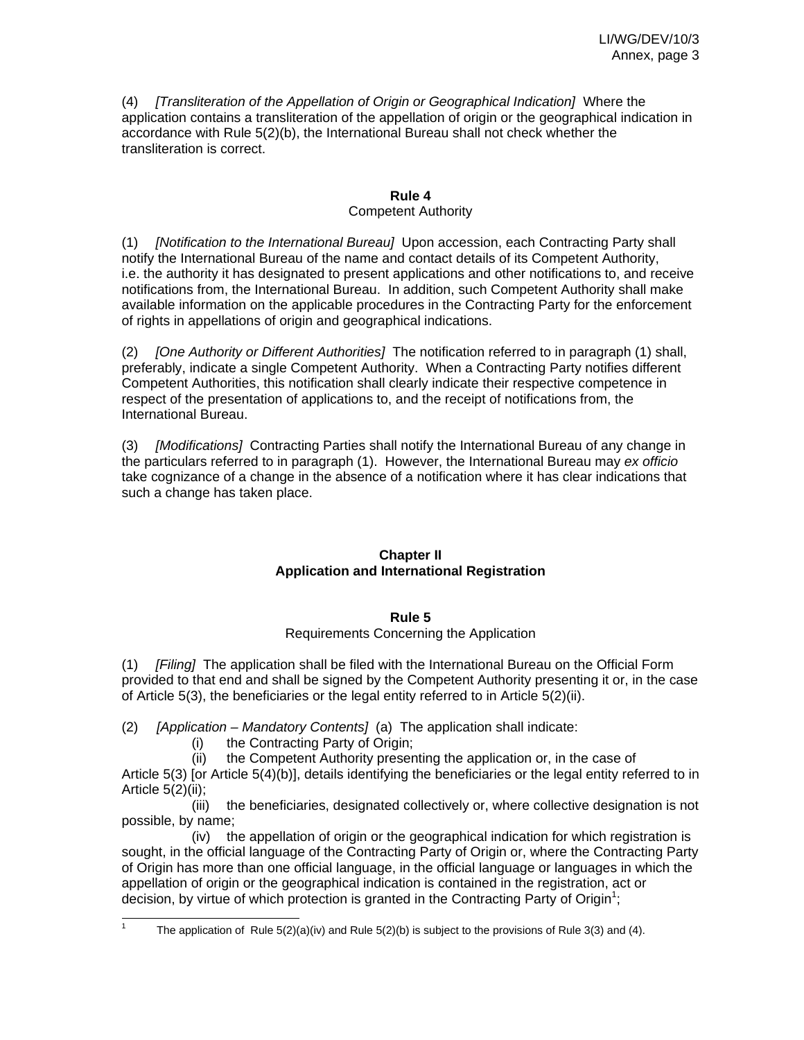(4) *[Transliteration of the Appellation of Origin or Geographical Indication]* Where the application contains a transliteration of the appellation of origin or the geographical indication in accordance with Rule 5(2)(b), the International Bureau shall not check whether the transliteration is correct.

### **Rule 4**  Competent Authority

(1) *[Notification to the International Bureau]* Upon accession, each Contracting Party shall notify the International Bureau of the name and contact details of its Competent Authority, i.e. the authority it has designated to present applications and other notifications to, and receive notifications from, the International Bureau. In addition, such Competent Authority shall make available information on the applicable procedures in the Contracting Party for the enforcement of rights in appellations of origin and geographical indications.

(2) *[One Authority or Different Authorities]* The notification referred to in paragraph (1) shall, preferably, indicate a single Competent Authority. When a Contracting Party notifies different Competent Authorities, this notification shall clearly indicate their respective competence in respect of the presentation of applications to, and the receipt of notifications from, the International Bureau.

(3) *[Modifications]* Contracting Parties shall notify the International Bureau of any change in the particulars referred to in paragraph (1). However, the International Bureau may *ex officio* take cognizance of a change in the absence of a notification where it has clear indications that such a change has taken place.

### **Chapter II Application and International Registration**

# **Rule 5**

# Requirements Concerning the Application

(1) *[Filing]* The application shall be filed with the International Bureau on the Official Form provided to that end and shall be signed by the Competent Authority presenting it or, in the case of Article 5(3), the beneficiaries or the legal entity referred to in Article 5(2)(ii).

(2) *[Application – Mandatory Contents]* (a) The application shall indicate:

(i) the Contracting Party of Origin;

 $\frac{1}{1}$ 

(ii) the Competent Authority presenting the application or, in the case of

Article 5(3) [or Article 5(4)(b)], details identifying the beneficiaries or the legal entity referred to in Article  $5(2)(ii)$ ;

(iii) the beneficiaries, designated collectively or, where collective designation is not possible, by name;

(iv) the appellation of origin or the geographical indication for which registration is sought, in the official language of the Contracting Party of Origin or, where the Contracting Party of Origin has more than one official language, in the official language or languages in which the appellation of origin or the geographical indication is contained in the registration, act or decision, by virtue of which protection is granted in the Contracting Party of Origin<sup>1</sup>;

The application of Rule 5(2)(a)(iv) and Rule 5(2)(b) is subject to the provisions of Rule 3(3) and (4).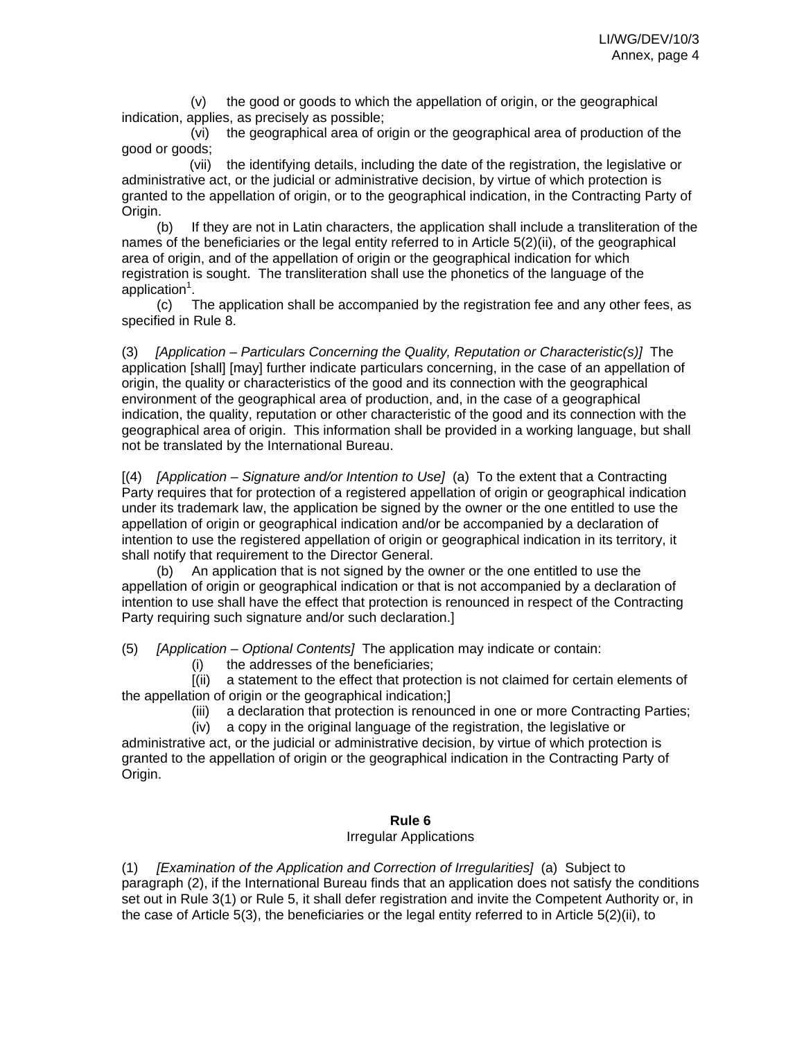(v) the good or goods to which the appellation of origin, or the geographical indication, applies, as precisely as possible;

(vi) the geographical area of origin or the geographical area of production of the good or goods;

(vii) the identifying details, including the date of the registration, the legislative or administrative act, or the judicial or administrative decision, by virtue of which protection is granted to the appellation of origin, or to the geographical indication, in the Contracting Party of Origin.

(b) If they are not in Latin characters, the application shall include a transliteration of the names of the beneficiaries or the legal entity referred to in Article 5(2)(ii), of the geographical area of origin, and of the appellation of origin or the geographical indication for which registration is sought. The transliteration shall use the phonetics of the language of the application<sup>1</sup>.

(c) The application shall be accompanied by the registration fee and any other fees, as specified in Rule 8.

(3) *[Application – Particulars Concerning the Quality, Reputation or Characteristic(s)]* The application [shall] [may] further indicate particulars concerning, in the case of an appellation of origin, the quality or characteristics of the good and its connection with the geographical environment of the geographical area of production, and, in the case of a geographical indication, the quality, reputation or other characteristic of the good and its connection with the geographical area of origin. This information shall be provided in a working language, but shall not be translated by the International Bureau.

[(4) *[Application – Signature and/or Intention to Use]* (a) To the extent that a Contracting Party requires that for protection of a registered appellation of origin or geographical indication under its trademark law, the application be signed by the owner or the one entitled to use the appellation of origin or geographical indication and/or be accompanied by a declaration of intention to use the registered appellation of origin or geographical indication in its territory, it shall notify that requirement to the Director General.

 (b) An application that is not signed by the owner or the one entitled to use the appellation of origin or geographical indication or that is not accompanied by a declaration of intention to use shall have the effect that protection is renounced in respect of the Contracting Party requiring such signature and/or such declaration.]

(5) *[Application – Optional Contents]* The application may indicate or contain:

(i) the addresses of the beneficiaries;

[(ii) a statement to the effect that protection is not claimed for certain elements of the appellation of origin or the geographical indication;]

(iii) a declaration that protection is renounced in one or more Contracting Parties;

(iv) a copy in the original language of the registration, the legislative or

administrative act, or the judicial or administrative decision, by virtue of which protection is granted to the appellation of origin or the geographical indication in the Contracting Party of Origin.

#### **Rule 6**

#### Irregular Applications

(1) *[Examination of the Application and Correction of Irregularities]* (a) Subject to paragraph (2), if the International Bureau finds that an application does not satisfy the conditions set out in Rule 3(1) or Rule 5, it shall defer registration and invite the Competent Authority or, in the case of Article 5(3), the beneficiaries or the legal entity referred to in Article 5(2)(ii), to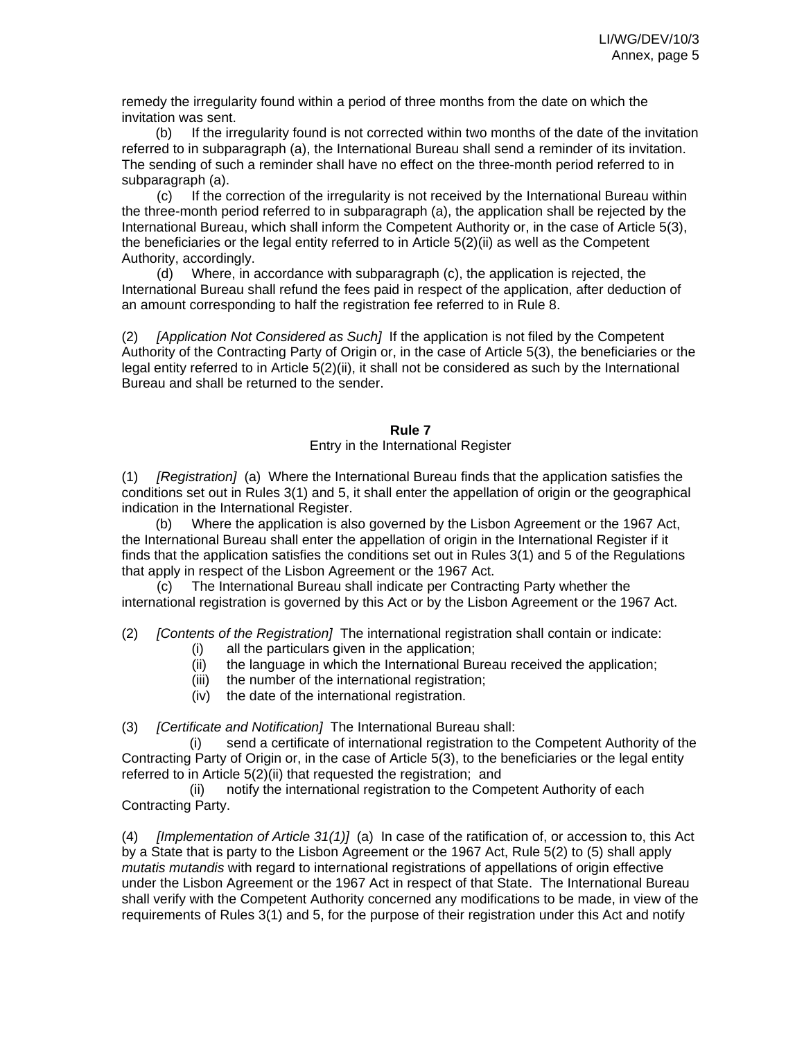remedy the irregularity found within a period of three months from the date on which the invitation was sent.

(b) If the irregularity found is not corrected within two months of the date of the invitation referred to in subparagraph (a), the International Bureau shall send a reminder of its invitation. The sending of such a reminder shall have no effect on the three-month period referred to in subparagraph (a).

(c) If the correction of the irregularity is not received by the International Bureau within the three-month period referred to in subparagraph (a), the application shall be rejected by the International Bureau, which shall inform the Competent Authority or, in the case of Article 5(3), the beneficiaries or the legal entity referred to in Article 5(2)(ii) as well as the Competent Authority, accordingly.

(d) Where, in accordance with subparagraph (c), the application is rejected, the International Bureau shall refund the fees paid in respect of the application, after deduction of an amount corresponding to half the registration fee referred to in Rule 8.

(2) *[Application Not Considered as Such]* If the application is not filed by the Competent Authority of the Contracting Party of Origin or, in the case of Article 5(3), the beneficiaries or the legal entity referred to in Article 5(2)(ii), it shall not be considered as such by the International Bureau and shall be returned to the sender.

### **Rule 7**

#### Entry in the International Register

(1) *[Registration]* (a) Where the International Bureau finds that the application satisfies the conditions set out in Rules 3(1) and 5, it shall enter the appellation of origin or the geographical indication in the International Register.

 (b) Where the application is also governed by the Lisbon Agreement or the 1967 Act, the International Bureau shall enter the appellation of origin in the International Register if it finds that the application satisfies the conditions set out in Rules 3(1) and 5 of the Regulations that apply in respect of the Lisbon Agreement or the 1967 Act.

 (c) The International Bureau shall indicate per Contracting Party whether the international registration is governed by this Act or by the Lisbon Agreement or the 1967 Act.

(2) *[Contents of the Registration]* The international registration shall contain or indicate:

- (i) all the particulars given in the application;
- (ii) the language in which the International Bureau received the application;
- (iii) the number of the international registration;
- (iv) the date of the international registration.

(3) *[Certificate and Notification]* The International Bureau shall:

 (i) send a certificate of international registration to the Competent Authority of the Contracting Party of Origin or, in the case of Article 5(3), to the beneficiaries or the legal entity referred to in Article 5(2)(ii) that requested the registration; and

 (ii) notify the international registration to the Competent Authority of each Contracting Party.

(4) *[Implementation of Article 31(1)]* (a) In case of the ratification of, or accession to, this Act by a State that is party to the Lisbon Agreement or the 1967 Act, Rule 5(2) to (5) shall apply *mutatis mutandis* with regard to international registrations of appellations of origin effective under the Lisbon Agreement or the 1967 Act in respect of that State. The International Bureau shall verify with the Competent Authority concerned any modifications to be made, in view of the requirements of Rules 3(1) and 5, for the purpose of their registration under this Act and notify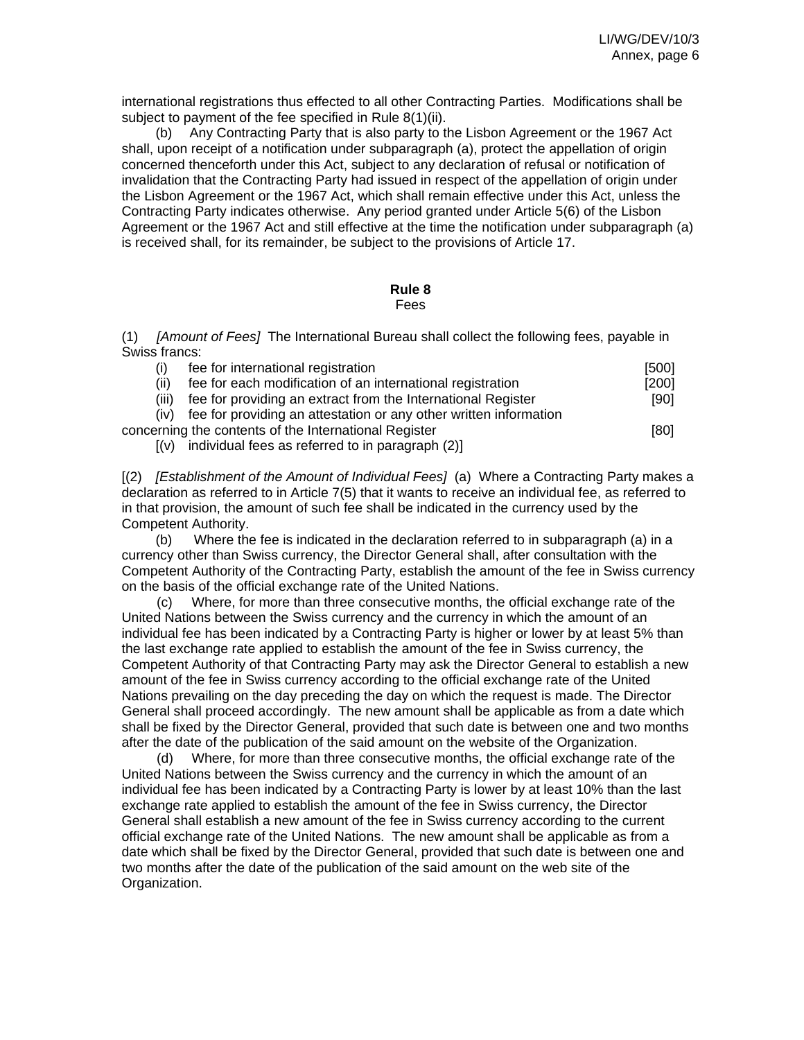international registrations thus effected to all other Contracting Parties. Modifications shall be subject to payment of the fee specified in Rule 8(1)(ii).

 (b) Any Contracting Party that is also party to the Lisbon Agreement or the 1967 Act shall, upon receipt of a notification under subparagraph (a), protect the appellation of origin concerned thenceforth under this Act, subject to any declaration of refusal or notification of invalidation that the Contracting Party had issued in respect of the appellation of origin under the Lisbon Agreement or the 1967 Act, which shall remain effective under this Act, unless the Contracting Party indicates otherwise. Any period granted under Article 5(6) of the Lisbon Agreement or the 1967 Act and still effective at the time the notification under subparagraph (a) is received shall, for its remainder, be subject to the provisions of Article 17.

# **Rule 8**

#### Fees

(1) *[Amount of Fees]* The International Bureau shall collect the following fees, payable in Swiss francs:

| (i)                                                   | fee for international registration                                | [500] |
|-------------------------------------------------------|-------------------------------------------------------------------|-------|
| (ii)                                                  | fee for each modification of an international registration        | [200] |
| (iii)                                                 | fee for providing an extract from the International Register      | [90]  |
| (iv)                                                  | fee for providing an attestation or any other written information |       |
| concerning the contents of the International Register |                                                                   | [80]  |
| [(v)                                                  | individual fees as referred to in paragraph (2)]                  |       |

[(2) *[Establishment of the Amount of Individual Fees]* (a) Where a Contracting Party makes a declaration as referred to in Article 7(5) that it wants to receive an individual fee, as referred to in that provision, the amount of such fee shall be indicated in the currency used by the Competent Authority.

 (b) Where the fee is indicated in the declaration referred to in subparagraph (a) in a currency other than Swiss currency, the Director General shall, after consultation with the Competent Authority of the Contracting Party, establish the amount of the fee in Swiss currency on the basis of the official exchange rate of the United Nations.

 (c) Where, for more than three consecutive months, the official exchange rate of the United Nations between the Swiss currency and the currency in which the amount of an individual fee has been indicated by a Contracting Party is higher or lower by at least 5% than the last exchange rate applied to establish the amount of the fee in Swiss currency, the Competent Authority of that Contracting Party may ask the Director General to establish a new amount of the fee in Swiss currency according to the official exchange rate of the United Nations prevailing on the day preceding the day on which the request is made. The Director General shall proceed accordingly. The new amount shall be applicable as from a date which shall be fixed by the Director General, provided that such date is between one and two months after the date of the publication of the said amount on the website of the Organization.

 (d) Where, for more than three consecutive months, the official exchange rate of the United Nations between the Swiss currency and the currency in which the amount of an individual fee has been indicated by a Contracting Party is lower by at least 10% than the last exchange rate applied to establish the amount of the fee in Swiss currency, the Director General shall establish a new amount of the fee in Swiss currency according to the current official exchange rate of the United Nations. The new amount shall be applicable as from a date which shall be fixed by the Director General, provided that such date is between one and two months after the date of the publication of the said amount on the web site of the Organization.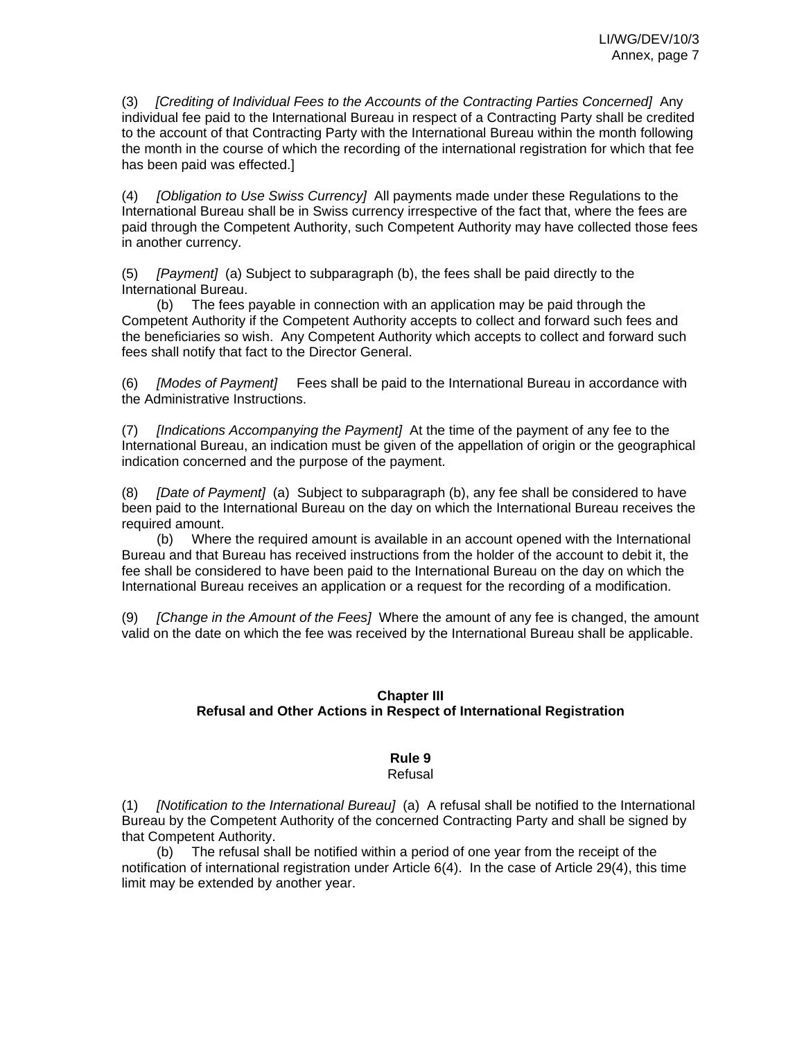(3) *[Crediting of Individual Fees to the Accounts of the Contracting Parties Concerned]* Any individual fee paid to the International Bureau in respect of a Contracting Party shall be credited to the account of that Contracting Party with the International Bureau within the month following the month in the course of which the recording of the international registration for which that fee has been paid was effected.]

(4) *[Obligation to Use Swiss Currency]* All payments made under these Regulations to the International Bureau shall be in Swiss currency irrespective of the fact that, where the fees are paid through the Competent Authority, such Competent Authority may have collected those fees in another currency.

(5) *[Payment]* (a) Subject to subparagraph (b), the fees shall be paid directly to the International Bureau.

(b) The fees payable in connection with an application may be paid through the Competent Authority if the Competent Authority accepts to collect and forward such fees and the beneficiaries so wish. Any Competent Authority which accepts to collect and forward such fees shall notify that fact to the Director General.

(6) *[Modes of Payment]* Fees shall be paid to the International Bureau in accordance with the Administrative Instructions.

(7) *[Indications Accompanying the Payment]* At the time of the payment of any fee to the International Bureau, an indication must be given of the appellation of origin or the geographical indication concerned and the purpose of the payment.

(8) *[Date of Payment]* (a) Subject to subparagraph (b), any fee shall be considered to have been paid to the International Bureau on the day on which the International Bureau receives the required amount.

(b) Where the required amount is available in an account opened with the International Bureau and that Bureau has received instructions from the holder of the account to debit it, the fee shall be considered to have been paid to the International Bureau on the day on which the International Bureau receives an application or a request for the recording of a modification.

(9) *[Change in the Amount of the Fees]* Where the amount of any fee is changed, the amount valid on the date on which the fee was received by the International Bureau shall be applicable.

# **Chapter III Refusal and Other Actions in Respect of International Registration**

# **Rule 9**

#### Refusal

(1) *[Notification to the International Bureau]* (a) A refusal shall be notified to the International Bureau by the Competent Authority of the concerned Contracting Party and shall be signed by that Competent Authority.

 (b) The refusal shall be notified within a period of one year from the receipt of the notification of international registration under Article 6(4). In the case of Article 29(4), this time limit may be extended by another year.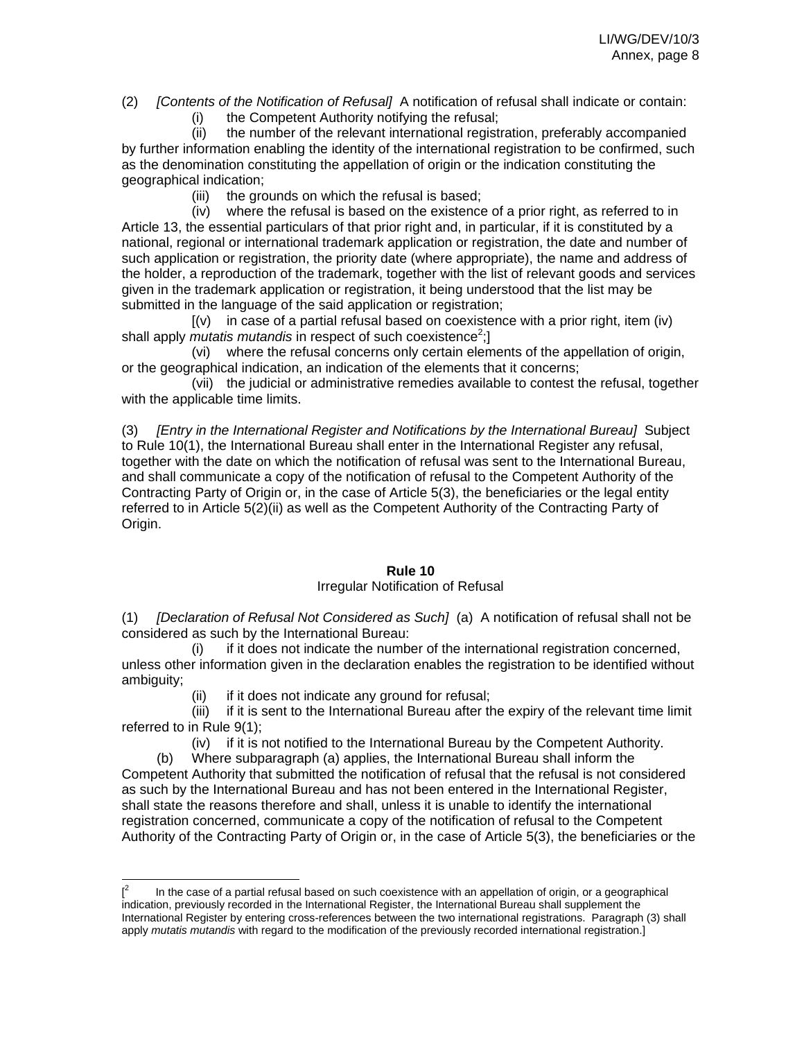(2) *[Contents of the Notification of Refusal]* A notification of refusal shall indicate or contain: (i) the Competent Authority notifying the refusal;

(ii) the number of the relevant international registration, preferably accompanied by further information enabling the identity of the international registration to be confirmed, such as the denomination constituting the appellation of origin or the indication constituting the geographical indication;

(iii) the grounds on which the refusal is based;

(iv) where the refusal is based on the existence of a prior right, as referred to in Article 13, the essential particulars of that prior right and, in particular, if it is constituted by a national, regional or international trademark application or registration, the date and number of such application or registration, the priority date (where appropriate), the name and address of the holder, a reproduction of the trademark, together with the list of relevant goods and services given in the trademark application or registration, it being understood that the list may be submitted in the language of the said application or registration;

 $[(v)$  in case of a partial refusal based on coexistence with a prior right, item  $(iv)$ shall apply *mutatis mutandis* in respect of such coexistence<sup>2</sup>;]

(vi) where the refusal concerns only certain elements of the appellation of origin, or the geographical indication, an indication of the elements that it concerns;

(vii) the judicial or administrative remedies available to contest the refusal, together with the applicable time limits.

(3) *[Entry in the International Register and Notifications by the International Bureau]* Subject to Rule 10(1), the International Bureau shall enter in the International Register any refusal, together with the date on which the notification of refusal was sent to the International Bureau, and shall communicate a copy of the notification of refusal to the Competent Authority of the Contracting Party of Origin or, in the case of Article 5(3), the beneficiaries or the legal entity referred to in Article 5(2)(ii) as well as the Competent Authority of the Contracting Party of Origin.

### **Rule 10**

#### Irregular Notification of Refusal

(1) *[Declaration of Refusal Not Considered as Such]* (a) A notification of refusal shall not be considered as such by the International Bureau:

(i) if it does not indicate the number of the international registration concerned, unless other information given in the declaration enables the registration to be identified without ambiguity;

(ii) if it does not indicate any ground for refusal;

l

(iii) if it is sent to the International Bureau after the expiry of the relevant time limit referred to in Rule 9(1);

(iv) if it is not notified to the International Bureau by the Competent Authority.

(b) Where subparagraph (a) applies, the International Bureau shall inform the Competent Authority that submitted the notification of refusal that the refusal is not considered as such by the International Bureau and has not been entered in the International Register, shall state the reasons therefore and shall, unless it is unable to identify the international registration concerned, communicate a copy of the notification of refusal to the Competent Authority of the Contracting Party of Origin or, in the case of Article 5(3), the beneficiaries or the

<sup>[</sup> 2 In the case of a partial refusal based on such coexistence with an appellation of origin, or a geographical indication, previously recorded in the International Register, the International Bureau shall supplement the International Register by entering cross-references between the two international registrations. Paragraph (3) shall apply *mutatis mutandis* with regard to the modification of the previously recorded international registration.]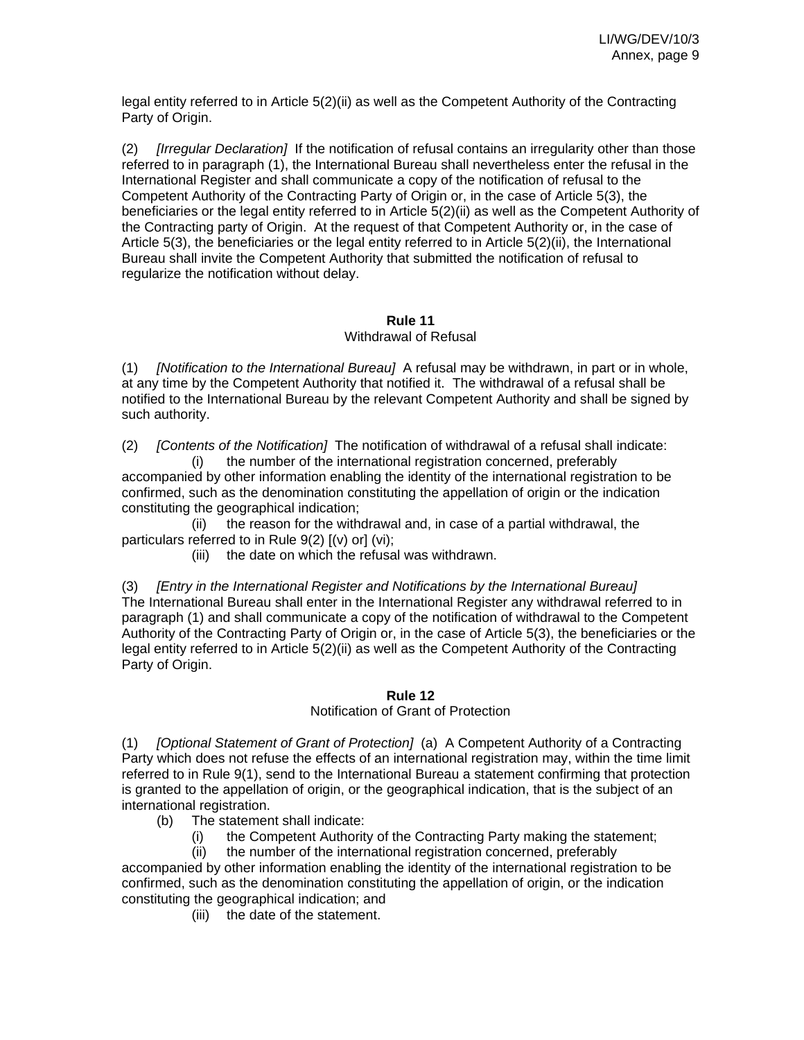legal entity referred to in Article 5(2)(ii) as well as the Competent Authority of the Contracting Party of Origin.

(2) *[Irregular Declaration]* If the notification of refusal contains an irregularity other than those referred to in paragraph (1), the International Bureau shall nevertheless enter the refusal in the International Register and shall communicate a copy of the notification of refusal to the Competent Authority of the Contracting Party of Origin or, in the case of Article 5(3), the beneficiaries or the legal entity referred to in Article 5(2)(ii) as well as the Competent Authority of the Contracting party of Origin. At the request of that Competent Authority or, in the case of Article 5(3), the beneficiaries or the legal entity referred to in Article 5(2)(ii), the International Bureau shall invite the Competent Authority that submitted the notification of refusal to regularize the notification without delay.

# **Rule 11**

### Withdrawal of Refusal

(1) *[Notification to the International Bureau]* A refusal may be withdrawn, in part or in whole, at any time by the Competent Authority that notified it. The withdrawal of a refusal shall be notified to the International Bureau by the relevant Competent Authority and shall be signed by such authority.

(2) *[Contents of the Notification]* The notification of withdrawal of a refusal shall indicate: (i) the number of the international registration concerned, preferably

accompanied by other information enabling the identity of the international registration to be confirmed, such as the denomination constituting the appellation of origin or the indication constituting the geographical indication;

 (ii) the reason for the withdrawal and, in case of a partial withdrawal, the particulars referred to in Rule 9(2) [(v) or] (vi);

(iii) the date on which the refusal was withdrawn.

(3) *[Entry in the International Register and Notifications by the International Bureau]* The International Bureau shall enter in the International Register any withdrawal referred to in paragraph (1) and shall communicate a copy of the notification of withdrawal to the Competent Authority of the Contracting Party of Origin or, in the case of Article 5(3), the beneficiaries or the legal entity referred to in Article 5(2)(ii) as well as the Competent Authority of the Contracting Party of Origin.

### **Rule 12**

### Notification of Grant of Protection

(1) *[Optional Statement of Grant of Protection]* (a) A Competent Authority of a Contracting Party which does not refuse the effects of an international registration may, within the time limit referred to in Rule 9(1), send to the International Bureau a statement confirming that protection is granted to the appellation of origin, or the geographical indication, that is the subject of an international registration.

- (b) The statement shall indicate:
	- (i) the Competent Authority of the Contracting Party making the statement;

(ii) the number of the international registration concerned, preferably accompanied by other information enabling the identity of the international registration to be confirmed, such as the denomination constituting the appellation of origin, or the indication constituting the geographical indication; and

(iii) the date of the statement.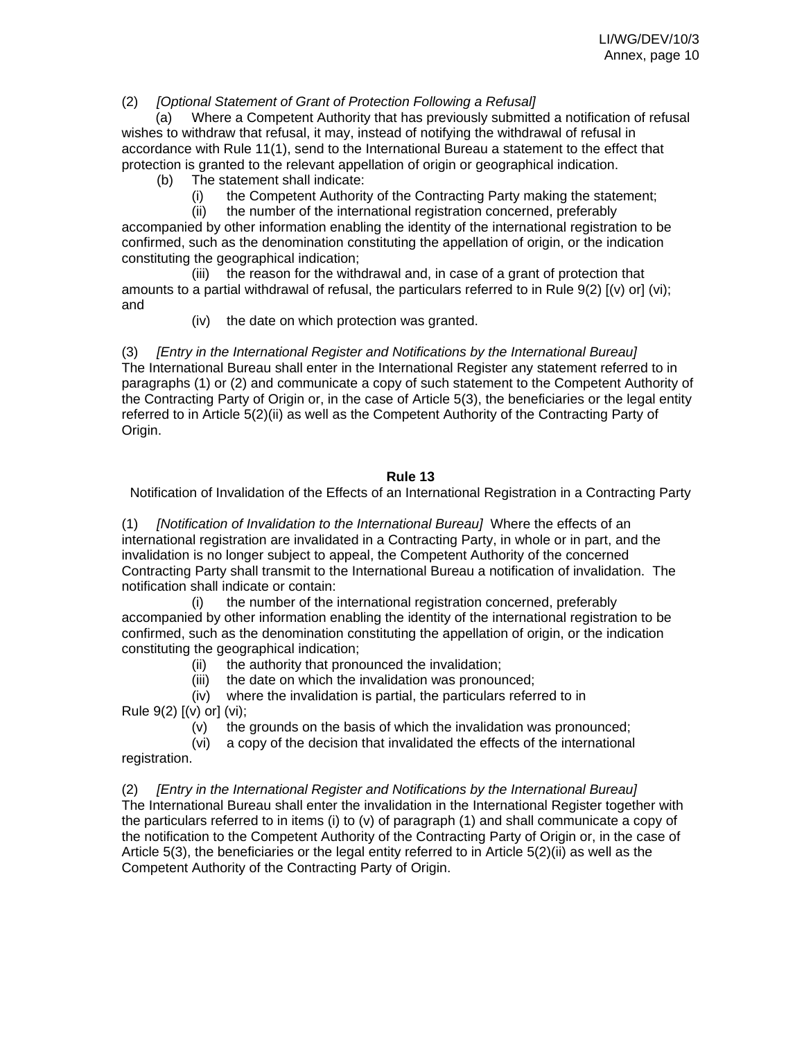### (2) *[Optional Statement of Grant of Protection Following a Refusal]*

(a) Where a Competent Authority that has previously submitted a notification of refusal wishes to withdraw that refusal, it may, instead of notifying the withdrawal of refusal in accordance with Rule 11(1), send to the International Bureau a statement to the effect that protection is granted to the relevant appellation of origin or geographical indication.

- (b) The statement shall indicate:
	- (i) the Competent Authority of the Contracting Party making the statement;

(ii) the number of the international registration concerned, preferably accompanied by other information enabling the identity of the international registration to be confirmed, such as the denomination constituting the appellation of origin, or the indication constituting the geographical indication;

 (iii) the reason for the withdrawal and, in case of a grant of protection that amounts to a partial withdrawal of refusal, the particulars referred to in Rule 9(2) [(v) or] (vi); and

(iv) the date on which protection was granted.

(3) *[Entry in the International Register and Notifications by the International Bureau]* The International Bureau shall enter in the International Register any statement referred to in paragraphs (1) or (2) and communicate a copy of such statement to the Competent Authority of the Contracting Party of Origin or, in the case of Article 5(3), the beneficiaries or the legal entity referred to in Article 5(2)(ii) as well as the Competent Authority of the Contracting Party of Origin.

# **Rule 13**

Notification of Invalidation of the Effects of an International Registration in a Contracting Party

(1) *[Notification of Invalidation to the International Bureau]* Where the effects of an international registration are invalidated in a Contracting Party, in whole or in part, and the invalidation is no longer subject to appeal, the Competent Authority of the concerned Contracting Party shall transmit to the International Bureau a notification of invalidation. The notification shall indicate or contain:

(i) the number of the international registration concerned, preferably accompanied by other information enabling the identity of the international registration to be confirmed, such as the denomination constituting the appellation of origin, or the indication constituting the geographical indication;

- (ii) the authority that pronounced the invalidation;
- (iii) the date on which the invalidation was pronounced;

 (iv) where the invalidation is partial, the particulars referred to in Rule 9(2) [(v) or] (vi);

(v) the grounds on the basis of which the invalidation was pronounced;

(vi) a copy of the decision that invalidated the effects of the international registration.

(2) *[Entry in the International Register and Notifications by the International Bureau]* The International Bureau shall enter the invalidation in the International Register together with the particulars referred to in items (i) to (v) of paragraph (1) and shall communicate a copy of the notification to the Competent Authority of the Contracting Party of Origin or, in the case of Article 5(3), the beneficiaries or the legal entity referred to in Article 5(2)(ii) as well as the Competent Authority of the Contracting Party of Origin.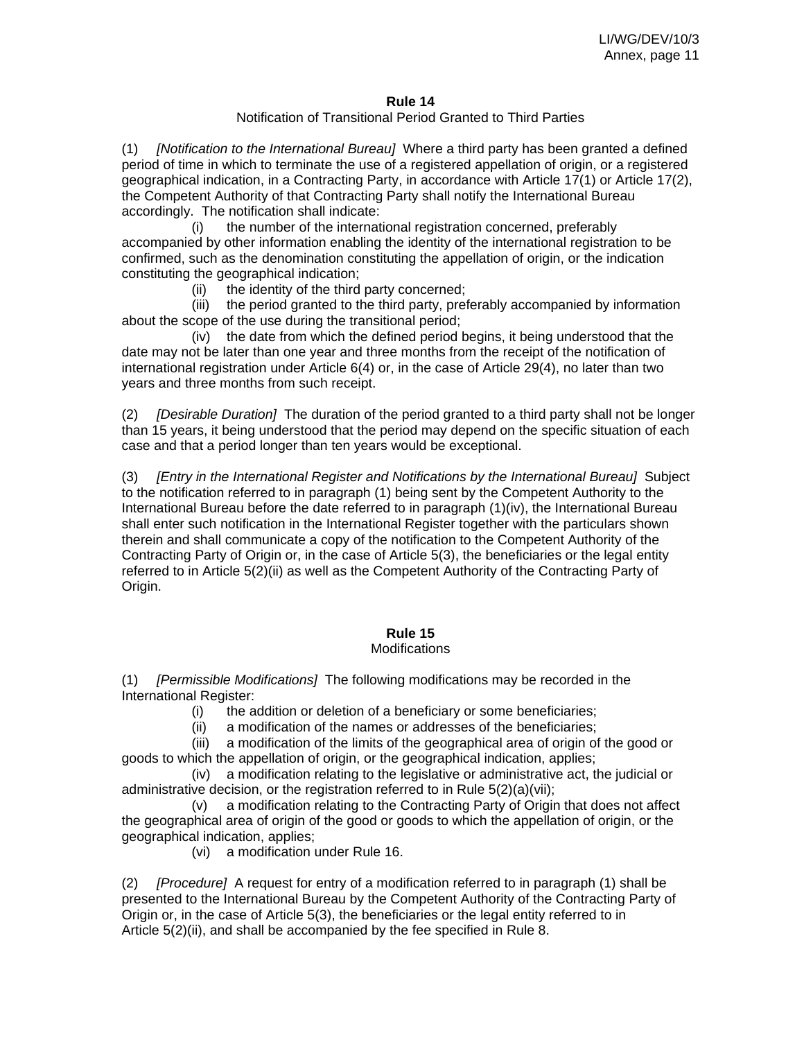### Notification of Transitional Period Granted to Third Parties

(1) *[Notification to the International Bureau]* Where a third party has been granted a defined period of time in which to terminate the use of a registered appellation of origin, or a registered geographical indication, in a Contracting Party, in accordance with Article 17(1) or Article 17(2), the Competent Authority of that Contracting Party shall notify the International Bureau accordingly. The notification shall indicate:

(i) the number of the international registration concerned, preferably accompanied by other information enabling the identity of the international registration to be confirmed, such as the denomination constituting the appellation of origin, or the indication constituting the geographical indication;

(ii) the identity of the third party concerned;

(iii) the period granted to the third party, preferably accompanied by information about the scope of the use during the transitional period;

(iv) the date from which the defined period begins, it being understood that the date may not be later than one year and three months from the receipt of the notification of international registration under Article 6(4) or, in the case of Article 29(4), no later than two years and three months from such receipt.

(2) *[Desirable Duration]* The duration of the period granted to a third party shall not be longer than 15 years, it being understood that the period may depend on the specific situation of each case and that a period longer than ten years would be exceptional.

(3) *[Entry in the International Register and Notifications by the International Bureau]* Subject to the notification referred to in paragraph (1) being sent by the Competent Authority to the International Bureau before the date referred to in paragraph (1)(iv), the International Bureau shall enter such notification in the International Register together with the particulars shown therein and shall communicate a copy of the notification to the Competent Authority of the Contracting Party of Origin or, in the case of Article 5(3), the beneficiaries or the legal entity referred to in Article 5(2)(ii) as well as the Competent Authority of the Contracting Party of Origin.

### **Rule 15**

#### **Modifications**

(1) *[Permissible Modifications]* The following modifications may be recorded in the International Register:

(i) the addition or deletion of a beneficiary or some beneficiaries;

(ii) a modification of the names or addresses of the beneficiaries;

(iii) a modification of the limits of the geographical area of origin of the good or goods to which the appellation of origin, or the geographical indication, applies;

(iv) a modification relating to the legislative or administrative act, the judicial or administrative decision, or the registration referred to in Rule 5(2)(a)(vii);

(v) a modification relating to the Contracting Party of Origin that does not affect the geographical area of origin of the good or goods to which the appellation of origin, or the geographical indication, applies;

(vi) a modification under Rule 16.

(2) *[Procedure]* A request for entry of a modification referred to in paragraph (1) shall be presented to the International Bureau by the Competent Authority of the Contracting Party of Origin or, in the case of Article 5(3), the beneficiaries or the legal entity referred to in Article 5(2)(ii), and shall be accompanied by the fee specified in Rule 8.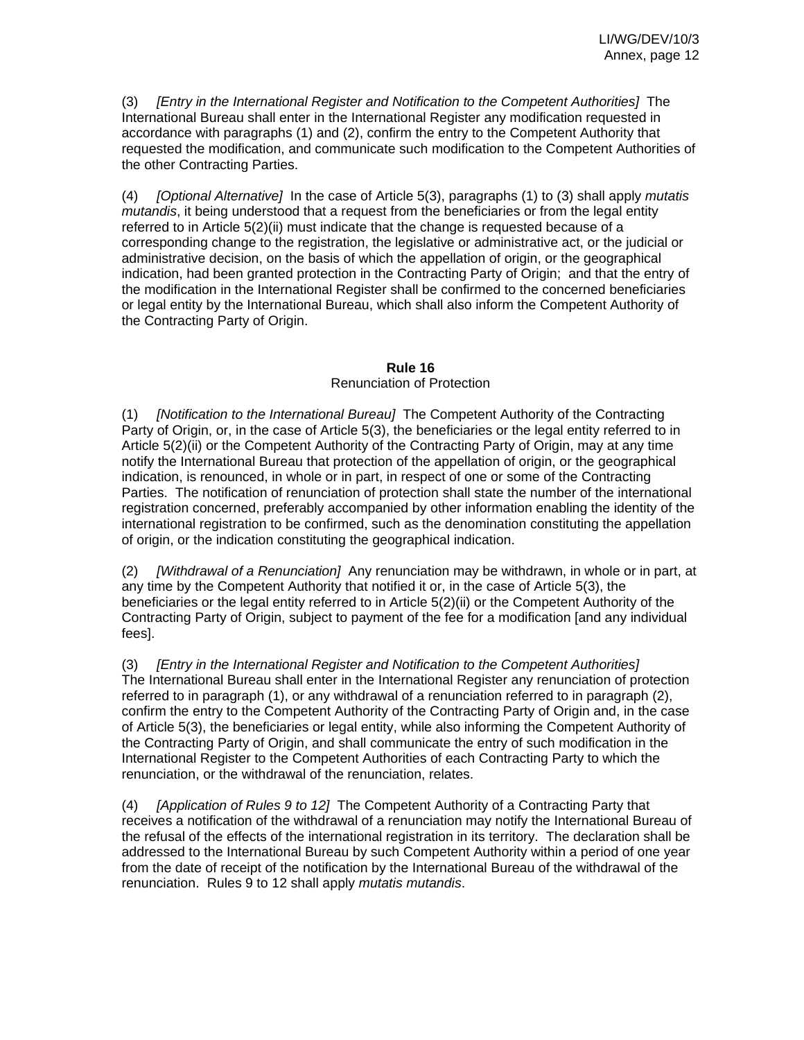(3) *[Entry in the International Register and Notification to the Competent Authorities]* The International Bureau shall enter in the International Register any modification requested in accordance with paragraphs (1) and (2), confirm the entry to the Competent Authority that requested the modification, and communicate such modification to the Competent Authorities of the other Contracting Parties.

(4) *[Optional Alternative]* In the case of Article 5(3), paragraphs (1) to (3) shall apply *mutatis mutandis*, it being understood that a request from the beneficiaries or from the legal entity referred to in Article 5(2)(ii) must indicate that the change is requested because of a corresponding change to the registration, the legislative or administrative act, or the judicial or administrative decision, on the basis of which the appellation of origin, or the geographical indication, had been granted protection in the Contracting Party of Origin; and that the entry of the modification in the International Register shall be confirmed to the concerned beneficiaries or legal entity by the International Bureau, which shall also inform the Competent Authority of the Contracting Party of Origin.

### **Rule 16**

### Renunciation of Protection

(1) *[Notification to the International Bureau]* The Competent Authority of the Contracting Party of Origin, or, in the case of Article 5(3), the beneficiaries or the legal entity referred to in Article 5(2)(ii) or the Competent Authority of the Contracting Party of Origin, may at any time notify the International Bureau that protection of the appellation of origin, or the geographical indication, is renounced, in whole or in part, in respect of one or some of the Contracting Parties. The notification of renunciation of protection shall state the number of the international registration concerned, preferably accompanied by other information enabling the identity of the international registration to be confirmed, such as the denomination constituting the appellation of origin, or the indication constituting the geographical indication.

(2) *[Withdrawal of a Renunciation]* Any renunciation may be withdrawn, in whole or in part, at any time by the Competent Authority that notified it or, in the case of Article 5(3), the beneficiaries or the legal entity referred to in Article 5(2)(ii) or the Competent Authority of the Contracting Party of Origin, subject to payment of the fee for a modification [and any individual fees].

(3) *[Entry in the International Register and Notification to the Competent Authorities]* The International Bureau shall enter in the International Register any renunciation of protection referred to in paragraph (1), or any withdrawal of a renunciation referred to in paragraph (2), confirm the entry to the Competent Authority of the Contracting Party of Origin and, in the case of Article 5(3), the beneficiaries or legal entity, while also informing the Competent Authority of the Contracting Party of Origin, and shall communicate the entry of such modification in the International Register to the Competent Authorities of each Contracting Party to which the renunciation, or the withdrawal of the renunciation, relates.

(4) *[Application of Rules 9 to 12]* The Competent Authority of a Contracting Party that receives a notification of the withdrawal of a renunciation may notify the International Bureau of the refusal of the effects of the international registration in its territory. The declaration shall be addressed to the International Bureau by such Competent Authority within a period of one year from the date of receipt of the notification by the International Bureau of the withdrawal of the renunciation. Rules 9 to 12 shall apply *mutatis mutandis*.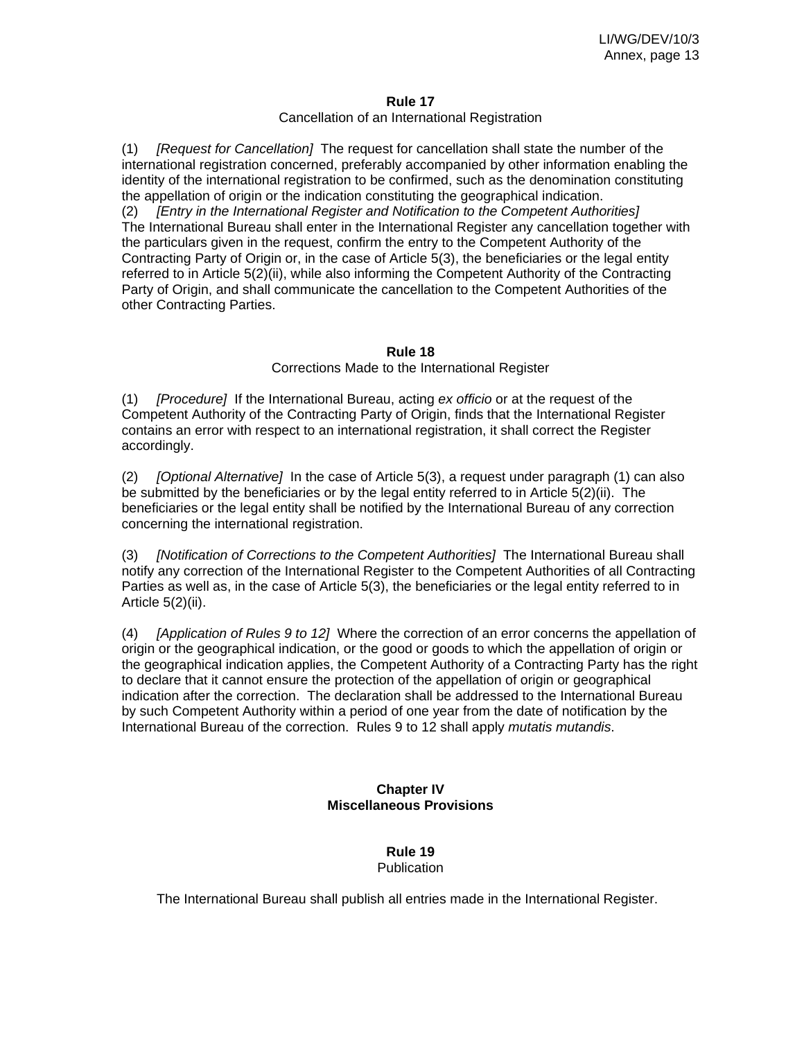#### Cancellation of an International Registration

(1) *[Request for Cancellation]* The request for cancellation shall state the number of the international registration concerned, preferably accompanied by other information enabling the identity of the international registration to be confirmed, such as the denomination constituting the appellation of origin or the indication constituting the geographical indication.

(2) *[Entry in the International Register and Notification to the Competent Authorities]* The International Bureau shall enter in the International Register any cancellation together with the particulars given in the request, confirm the entry to the Competent Authority of the Contracting Party of Origin or, in the case of Article 5(3), the beneficiaries or the legal entity referred to in Article 5(2)(ii), while also informing the Competent Authority of the Contracting Party of Origin, and shall communicate the cancellation to the Competent Authorities of the other Contracting Parties.

### **Rule 18**

Corrections Made to the International Register

(1) *[Procedure]* If the International Bureau, acting *ex officio* or at the request of the Competent Authority of the Contracting Party of Origin, finds that the International Register contains an error with respect to an international registration, it shall correct the Register accordingly.

(2) *[Optional Alternative]* In the case of Article 5(3), a request under paragraph (1) can also be submitted by the beneficiaries or by the legal entity referred to in Article 5(2)(ii). The beneficiaries or the legal entity shall be notified by the International Bureau of any correction concerning the international registration.

(3) *[Notification of Corrections to the Competent Authorities]* The International Bureau shall notify any correction of the International Register to the Competent Authorities of all Contracting Parties as well as, in the case of Article 5(3), the beneficiaries or the legal entity referred to in Article 5(2)(ii).

(4) *[Application of Rules 9 to 12]* Where the correction of an error concerns the appellation of origin or the geographical indication, or the good or goods to which the appellation of origin or the geographical indication applies, the Competent Authority of a Contracting Party has the right to declare that it cannot ensure the protection of the appellation of origin or geographical indication after the correction. The declaration shall be addressed to the International Bureau by such Competent Authority within a period of one year from the date of notification by the International Bureau of the correction. Rules 9 to 12 shall apply *mutatis mutandis*.

### **Chapter IV Miscellaneous Provisions**

#### **Rule 19 Publication**

The International Bureau shall publish all entries made in the International Register.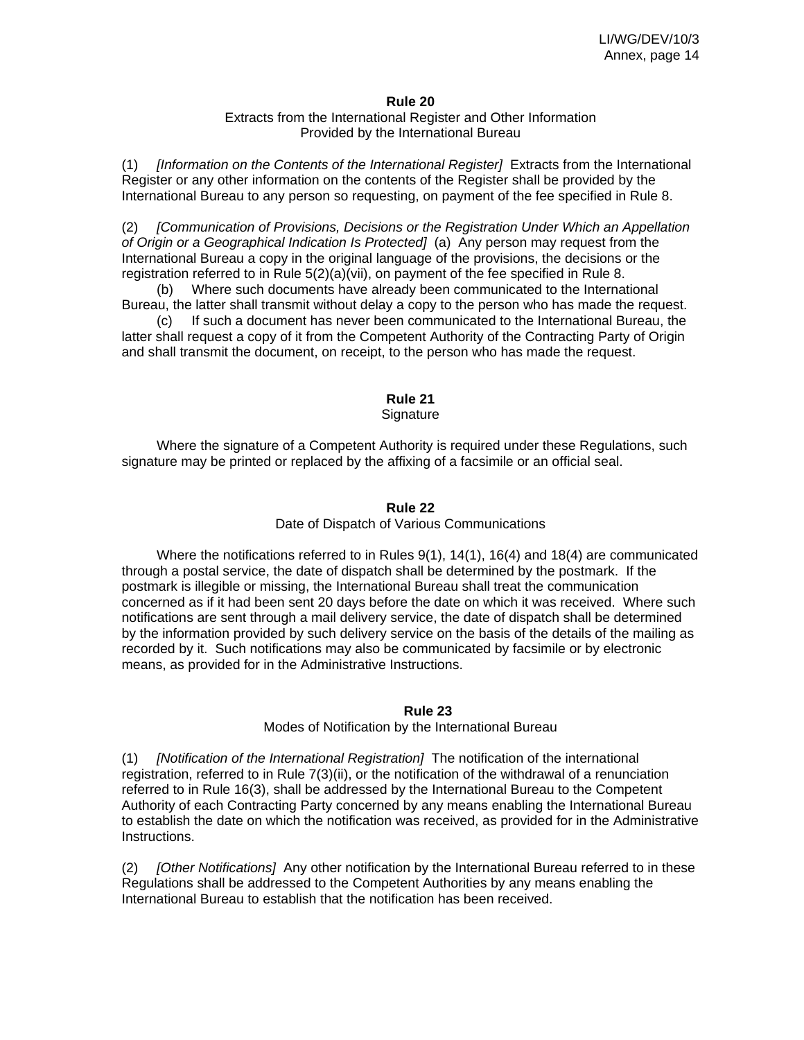#### Extracts from the International Register and Other Information Provided by the International Bureau

(1) *[Information on the Contents of the International Register]* Extracts from the International Register or any other information on the contents of the Register shall be provided by the International Bureau to any person so requesting, on payment of the fee specified in Rule 8.

(2) *[Communication of Provisions, Decisions or the Registration Under Which an Appellation of Origin or a Geographical Indication Is Protected]* (a) Any person may request from the International Bureau a copy in the original language of the provisions, the decisions or the registration referred to in Rule 5(2)(a)(vii), on payment of the fee specified in Rule 8.

(b) Where such documents have already been communicated to the International Bureau, the latter shall transmit without delay a copy to the person who has made the request.

(c) If such a document has never been communicated to the International Bureau, the latter shall request a copy of it from the Competent Authority of the Contracting Party of Origin and shall transmit the document, on receipt, to the person who has made the request.

#### **Rule 21**

#### Signature

Where the signature of a Competent Authority is required under these Regulations, such signature may be printed or replaced by the affixing of a facsimile or an official seal.

#### **Rule 22**

#### Date of Dispatch of Various Communications

Where the notifications referred to in Rules 9(1), 14(1), 16(4) and 18(4) are communicated through a postal service, the date of dispatch shall be determined by the postmark. If the postmark is illegible or missing, the International Bureau shall treat the communication concerned as if it had been sent 20 days before the date on which it was received. Where such notifications are sent through a mail delivery service, the date of dispatch shall be determined by the information provided by such delivery service on the basis of the details of the mailing as recorded by it. Such notifications may also be communicated by facsimile or by electronic means, as provided for in the Administrative Instructions.

#### **Rule 23**

#### Modes of Notification by the International Bureau

(1) *[Notification of the International Registration]* The notification of the international registration, referred to in Rule 7(3)(ii), or the notification of the withdrawal of a renunciation referred to in Rule 16(3), shall be addressed by the International Bureau to the Competent Authority of each Contracting Party concerned by any means enabling the International Bureau to establish the date on which the notification was received, as provided for in the Administrative Instructions.

(2) *[Other Notifications]* Any other notification by the International Bureau referred to in these Regulations shall be addressed to the Competent Authorities by any means enabling the International Bureau to establish that the notification has been received.